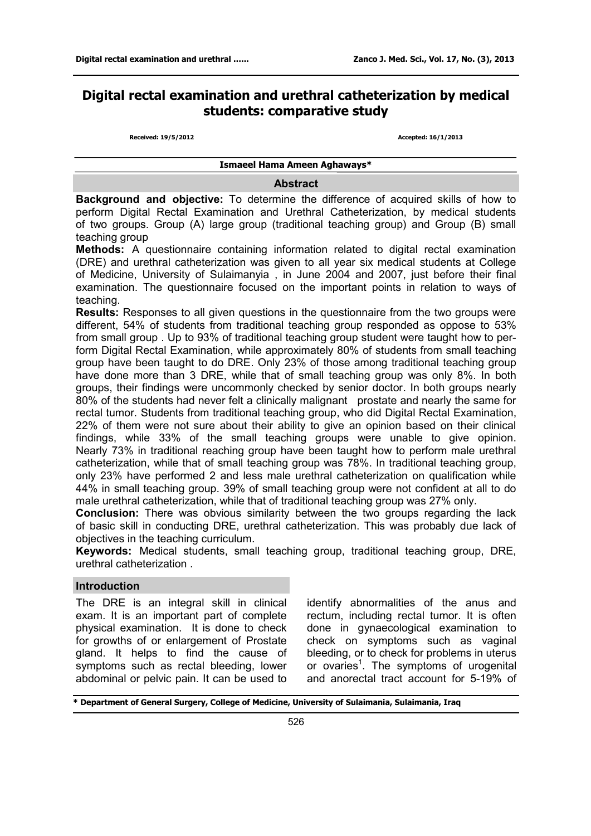# **Digital rectal examination and urethral catheterization by medical students: comparative study**

**Received: 19/5/2012 Accepted: 16/1/2013**

**Ismaeel Hama Ameen Aghaways\*** 

## **Abstract**

**Background and objective:** To determine the difference of acquired skills of how to perform Digital Rectal Examination and Urethral Catheterization, by medical students of two groups. Group (A) large group (traditional teaching group) and Group (B) small teaching group

**Methods:** A questionnaire containing information related to digital rectal examination (DRE) and urethral catheterization was given to all year six medical students at College of Medicine, University of Sulaimanyia , in June 2004 and 2007, just before their final examination. The questionnaire focused on the important points in relation to ways of teaching.

**Results:** Responses to all given questions in the questionnaire from the two groups were different, 54% of students from traditional teaching group responded as oppose to 53% from small group . Up to 93% of traditional teaching group student were taught how to perform Digital Rectal Examination, while approximately 80% of students from small teaching group have been taught to do DRE. Only 23% of those among traditional teaching group have done more than 3 DRE, while that of small teaching group was only 8%. In both groups, their findings were uncommonly checked by senior doctor. In both groups nearly 80% of the students had never felt a clinically malignant prostate and nearly the same for rectal tumor. Students from traditional teaching group, who did Digital Rectal Examination, 22% of them were not sure about their ability to give an opinion based on their clinical findings, while 33% of the small teaching groups were unable to give opinion. Nearly 73% in traditional reaching group have been taught how to perform male urethral catheterization, while that of small teaching group was 78%. In traditional teaching group, only 23% have performed 2 and less male urethral catheterization on qualification while 44% in small teaching group. 39% of small teaching group were not confident at all to do male urethral catheterization, while that of traditional teaching group was 27% only.

**Conclusion:** There was obvious similarity between the two groups regarding the lack of basic skill in conducting DRE, urethral catheterization. This was probably due lack of objectives in the teaching curriculum.

**Keywords:** Medical students, small teaching group, traditional teaching group, DRE, urethral catheterization .

## **Introduction**

The DRE is an integral skill in clinical exam. It is an important part of complete physical examination. It is done to check for growths of or enlargement of Prostate gland. It helps to find the cause of symptoms such as rectal bleeding, lower abdominal or pelvic pain. It can be used to identify abnormalities of the anus and rectum, including rectal tumor. It is often done in gynaecological examination to check on symptoms such as vaginal bleeding, or to check for problems in uterus or ovaries<sup>1</sup>. The symptoms of urogenital and anorectal tract account for 5-19% of

**\* Department of General Surgery, College of Medicine, University of Sulaimania, Sulaimania, Iraq**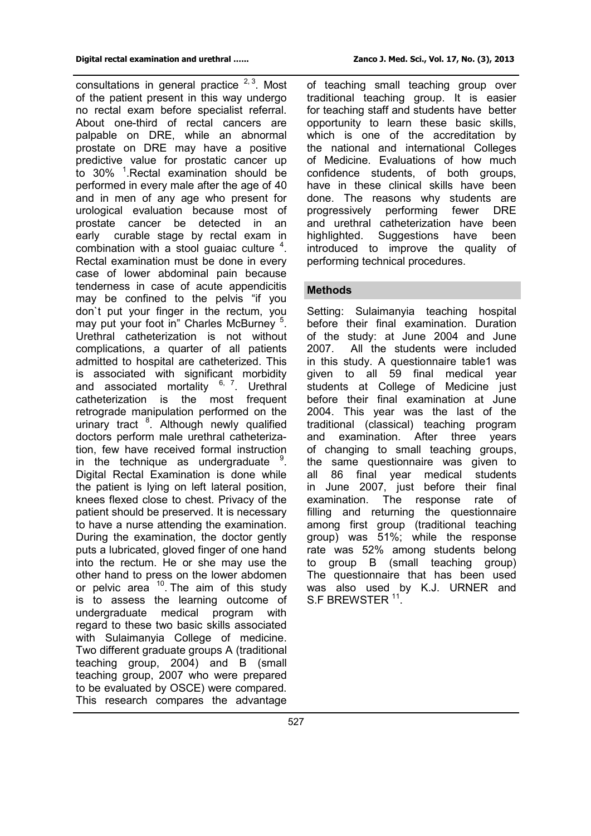consultations in general practice  $2,3$ . Most of the patient present in this way undergo no rectal exam before specialist referral. About one-third of rectal cancers are palpable on DRE, while an abnormal prostate on DRE may have a positive predictive value for prostatic cancer up to 30% <sup>1</sup>. Rectal examination should be performed in every male after the age of 40 and in men of any age who present for urological evaluation because most of prostate cancer be detected in an early curable stage by rectal exam in combination with a stool guaiac culture  $4$ . Rectal examination must be done in every case of lower abdominal pain because tenderness in case of acute appendicitis may be confined to the pelvis "if you don`t put your finger in the rectum, you may put your foot in" Charles McBurney <sup>5</sup>. Urethral catheterization is not without complications, a quarter of all patients admitted to hospital are catheterized. This is associated with significant morbidity and associated mortality  $6, 7$ . Urethral catheterization is the most frequent retrograde manipulation performed on the urinary tract <sup>8</sup>. Although newly qualified doctors perform male urethral catheterization, few have received formal instruction in the technique as undergraduate <sup>9</sup>. Digital Rectal Examination is done while the patient is lying on left lateral position, knees flexed close to chest. Privacy of the patient should be preserved. It is necessary to have a nurse attending the examination. During the examination, the doctor gently puts a lubricated, gloved finger of one hand into the rectum. He or she may use the other hand to press on the lower abdomen or pelvic area  $10$ . The aim of this study is to assess the learning outcome of undergraduate medical program with regard to these two basic skills associated with Sulaimanyia College of medicine. Two different graduate groups A (traditional teaching group, 2004) and B (small teaching group, 2007 who were prepared to be evaluated by OSCE) were compared. This research compares the advantage

of teaching small teaching group over traditional teaching group. It is easier for teaching staff and students have better opportunity to learn these basic skills, which is one of the accreditation by the national and international Colleges of Medicine. Evaluations of how much confidence students, of both groups, have in these clinical skills have been done. The reasons why students are progressively performing fewer DRE and urethral catheterization have been highlighted. Suggestions have been introduced to improve the quality of performing technical procedures.

## **Methods**

Setting: Sulaimanyia teaching hospital before their final examination. Duration of the study: at June 2004 and June 2007. All the students were included in this study. A questionnaire table1 was given to all 59 final medical year students at College of Medicine just before their final examination at June 2004. This year was the last of the traditional (classical) teaching program and examination. After three years of changing to small teaching groups, the same questionnaire was given to all 86 final year medical students in June 2007, just before their final examination. The response rate of filling and returning the questionnaire among first group (traditional teaching group) was 51%; while the response rate was 52% among students belong to group B (small teaching group) The questionnaire that has been used was also used by K.J. URNER and S.F BREWSTER <sup>11</sup>.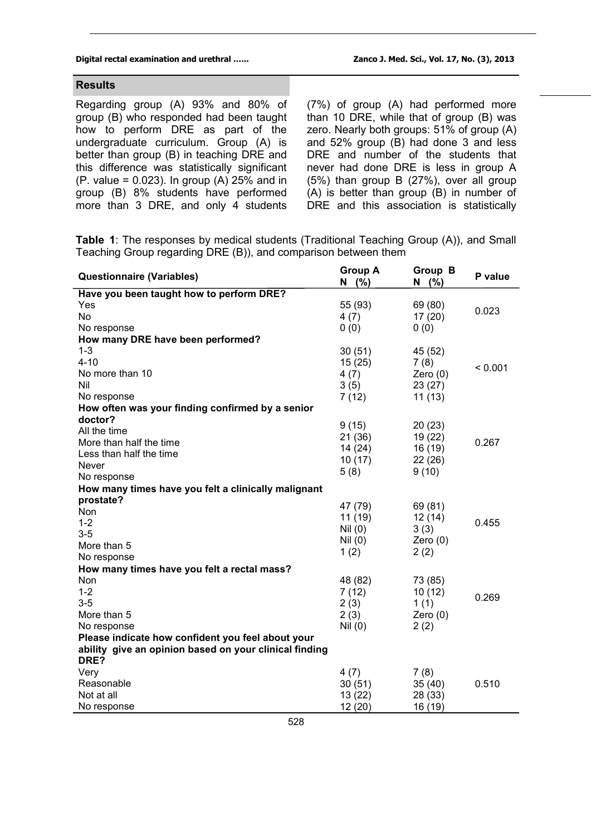### **Digital rectal examination and urethral .….. Zanco J. Med. Sci., Vol. 17, No. (3), 2013**

## **Results**

Regarding group (A) 93% and 80% of group (B) who responded had been taught how to perform DRE as part of the undergraduate curriculum. Group (A) is better than group (B) in teaching DRE and this difference was statistically significant (P. value = 0.023). In group (A) 25% and in group (B) 8% students have performed more than 3 DRE, and only 4 students

(7%) of group (A) had performed more than 10 DRE, while that of group (B) was zero. Nearly both groups: 51% of group (A) and 52% group (B) had done 3 and less DRE and number of the students that never had done DRE is less in group A (5%) than group B (27%), over all group (A) is better than group (B) in number of DRE and this association is statistically

**Table 1**: The responses by medical students (Traditional Teaching Group (A)), and Small Teaching Group regarding DRE (B)), and comparison between them

| <b>Questionnaire (Variables)</b>                               | <b>Group A</b><br>$N$ (%) | Group B<br>$N$ (%) | P value |
|----------------------------------------------------------------|---------------------------|--------------------|---------|
| Have you been taught how to perform DRE?                       |                           |                    |         |
| Yes                                                            | 55 (93)                   | 69 (80)            | 0.023   |
| No                                                             | 4(7)                      | 17(20)             |         |
| No response                                                    | 0(0)                      | 0(0)               |         |
| How many DRE have been performed?                              |                           |                    |         |
| $1 - 3$                                                        | 30(51)                    | 45 (52)            |         |
| $4 - 10$                                                       | 15(25)                    | 7(8)               |         |
| No more than 10                                                | 4(7)                      | Zero $(0)$         | < 0.001 |
| Nil                                                            | 3(5)                      | 23(27)             |         |
| No response                                                    | 7(12)                     | 11(13)             |         |
| How often was your finding confirmed by a senior               |                           |                    |         |
| doctor?                                                        |                           |                    |         |
| All the time                                                   | 9(15)                     | 20(23)             |         |
| More than half the time                                        | 21(36)                    | 19(22)             | 0.267   |
| Less than half the time                                        | 14(24)                    | 16 (19)            |         |
| <b>Never</b>                                                   | 10(17)                    | 22(26)             |         |
| No response                                                    | 5(8)                      | 9(10)              |         |
| How many times have you felt a clinically malignant            |                           |                    |         |
| prostate?                                                      |                           |                    |         |
| Non                                                            | 47 (79)                   | 69 (81)            |         |
| $1 - 2$                                                        | 11(19)                    | 12(14)             | 0.455   |
| $3-5$                                                          | Nil(0)                    | 3(3)               |         |
| More than 5                                                    | Nil (0)                   | Zero $(0)$         |         |
| No response                                                    | 1(2)                      | 2(2)               |         |
| How many times have you felt a rectal mass?                    |                           |                    |         |
| Non                                                            | 48 (82)                   | 73 (85)            |         |
| $1 - 2$                                                        | 7(12)                     | 10(12)             | 0.269   |
| $3-5$                                                          | 2(3)                      | 1(1)               |         |
| More than 5                                                    | 2(3)                      | Zero $(0)$         |         |
| No response                                                    | Nil (0)                   | 2(2)               |         |
| Please indicate how confident you feel about your              |                           |                    |         |
| ability give an opinion based on your clinical finding<br>DRE? |                           |                    |         |
| Very                                                           | 4(7)                      | 7(8)               |         |
| Reasonable                                                     | 30(51)                    | 35(40)             | 0.510   |
| Not at all                                                     | 13 (22)                   | 28 (33)            |         |
| No response                                                    | 12(20)                    | 16 (19)            |         |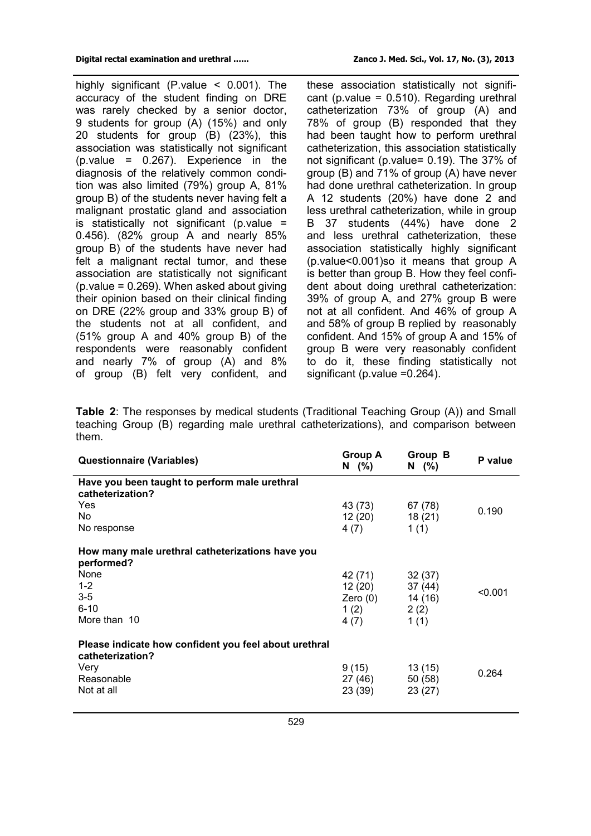highly significant (P.value < 0.001). The accuracy of the student finding on DRE was rarely checked by a senior doctor, 9 students for group (A) (15%) and only 20 students for group (B) (23%), this association was statistically not significant (p.value = 0.267). Experience in the diagnosis of the relatively common condition was also limited (79%) group A, 81% group B) of the students never having felt a malignant prostatic gland and association is statistically not significant (p.value  $=$ 0.456). (82% group A and nearly 85% group B) of the students have never had felt a malignant rectal tumor, and these association are statistically not significant (p.value = 0.269). When asked about giving their opinion based on their clinical finding on DRE (22% group and 33% group B) of the students not at all confident, and (51% group A and 40% group B) of the respondents were reasonably confident and nearly 7% of group (A) and 8% of group (B) felt very confident, and

these association statistically not significant (p. value =  $0.510$ ). Regarding urethral catheterization 73% of group (A) and 78% of group (B) responded that they had been taught how to perform urethral catheterization, this association statistically not significant (p.value= 0.19). The 37% of group (B) and 71% of group (A) have never had done urethral catheterization. In group A 12 students (20%) have done 2 and less urethral catheterization, while in group B 37 students (44%) have done 2 and less urethral catheterization, these association statistically highly significant (p.value<0.001)so it means that group A is better than group B. How they feel confident about doing urethral catheterization: 39% of group A, and 27% group B were not at all confident. And 46% of group A and 58% of group B replied by reasonably confident. And 15% of group A and 15% of group B were very reasonably confident to do it, these finding statistically not significant (p.value =0.264).

**Table 2**: The responses by medical students (Traditional Teaching Group (A)) and Small teaching Group (B) regarding male urethral catheterizations), and comparison between them.

| <b>Questionnaire (Variables)</b>                                                                              | Group A<br>$N$ (%)                                                | Group B<br>$N$ (%)           | P value |
|---------------------------------------------------------------------------------------------------------------|-------------------------------------------------------------------|------------------------------|---------|
| Have you been taught to perform male urethral<br>catheterization?<br>Yes<br>No.                               | 43 (73)<br>12 (20)                                                | 67 (78)<br>18 (21)           | 0.190   |
| No response<br>How many male urethral catheterizations have you                                               | 4 (7)                                                             | 1(1)                         |         |
| performed?<br>None<br>$1 - 2$<br>$3-5$<br>$6 - 10$<br>More than 10                                            | 42 (71)<br>$12(20)$ $37(44)$<br>Zero (0) 14 (16)<br>1(2)<br>4 (7) | 32 (37)<br>2(2)<br>1(1)      | < 0.001 |
| Please indicate how confident you feel about urethral<br>catheterization?<br>Very<br>Reasonable<br>Not at all | 9 (15)<br>27 (46)<br>23 (39)                                      | 13 (15)<br>50 (58)<br>23(27) | 0.264   |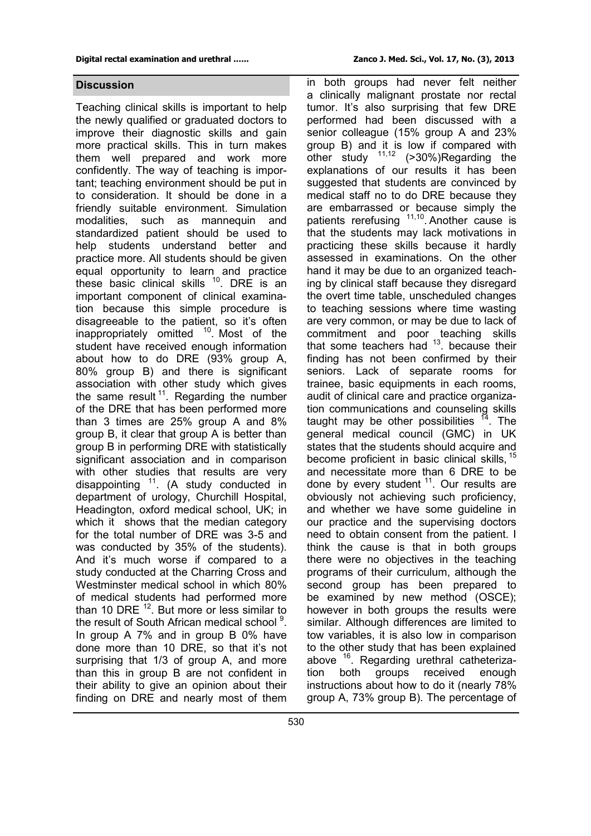#### **Digital rectal examination and urethral .….. Zanco J. Med. Sci., Vol. 17, No. (3), 2013**

## **Discussion**

Teaching clinical skills is important to help the newly qualified or graduated doctors to improve their diagnostic skills and gain more practical skills. This in turn makes them well prepared and work more confidently. The way of teaching is important; teaching environment should be put in to consideration. It should be done in a friendly suitable environment. Simulation modalities, such as mannequin and standardized patient should be used to help students understand better and practice more. All students should be given equal opportunity to learn and practice these basic clinical skills <sup>10</sup>. DRE is an important component of clinical examination because this simple procedure is disagreeable to the patient, so it's often inappropriately omitted <sup>10</sup>. Most of the student have received enough information about how to do DRE (93% group A, 80% group B) and there is significant association with other study which gives the same result<sup>11</sup>. Regarding the number of the DRE that has been performed more than 3 times are 25% group A and 8% group B, it clear that group A is better than group B in performing DRE with statistically significant association and in comparison with other studies that results are very disappointing  $11$ . (A study conducted in department of urology, Churchill Hospital, Headington, oxford medical school, UK; in which it shows that the median category for the total number of DRE was 3-5 and was conducted by 35% of the students). And it's much worse if compared to a study conducted at the Charring Cross and Westminster medical school in which 80% of medical students had performed more than 10 DRE  $^{12}$ . But more or less similar to the result of South African medical school<sup>9</sup>. In group A 7% and in group B 0% have done more than 10 DRE, so that it's not surprising that 1/3 of group A, and more than this in group B are not confident in their ability to give an opinion about their finding on DRE and nearly most of them

in both groups had never felt neither a clinically malignant prostate nor rectal tumor. It's also surprising that few DRE performed had been discussed with a senior colleague (15% group A and 23% group B) and it is low if compared with other study  $11,12$  (>30%)Regarding the explanations of our results it has been suggested that students are convinced by medical staff no to do DRE because they are embarrassed or because simply the patients rerefusing <sup>11,10</sup>. Another cause is that the students may lack motivations in practicing these skills because it hardly assessed in examinations. On the other hand it may be due to an organized teaching by clinical staff because they disregard the overt time table, unscheduled changes to teaching sessions where time wasting are very common, or may be due to lack of commitment and poor teaching skills that some teachers had  $13$ . because their finding has not been confirmed by their seniors. Lack of separate rooms for trainee, basic equipments in each rooms, audit of clinical care and practice organization communications and counseling skills taught may be other possibilities  $14$ . The general medical council (GMC) in UK states that the students should acquire and become proficient in basic clinical skills.<sup>15</sup> and necessitate more than 6 DRE to be done by every student  $11$ . Our results are obviously not achieving such proficiency, and whether we have some guideline in our practice and the supervising doctors need to obtain consent from the patient. I think the cause is that in both groups there were no objectives in the teaching programs of their curriculum, although the second group has been prepared to be examined by new method (OSCE); however in both groups the results were similar. Although differences are limited to tow variables, it is also low in comparison to the other study that has been explained above <sup>16</sup>. Regarding urethral catheterization both groups received enough instructions about how to do it (nearly 78% group A, 73% group B). The percentage of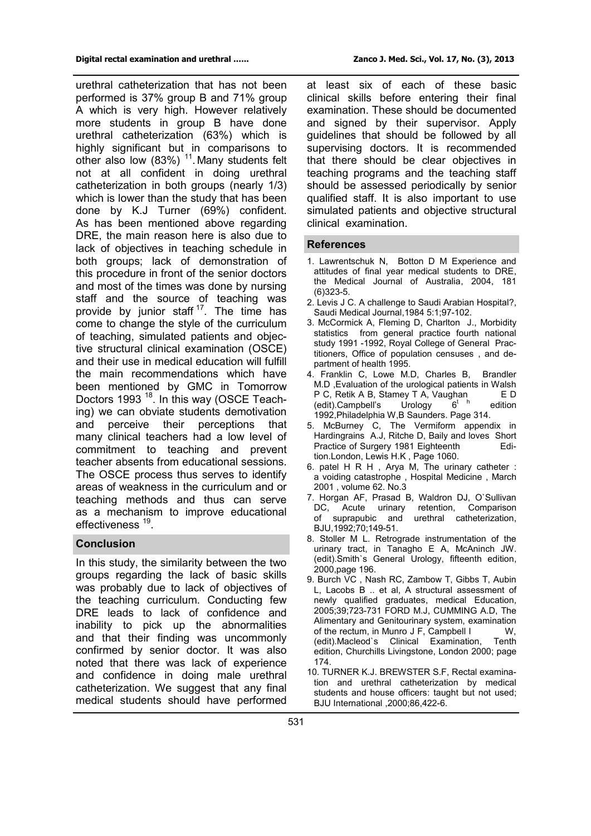urethral catheterization that has not been performed is 37% group B and 71% group A which is very high. However relatively more students in group B have done urethral catheterization (63%) which is highly significant but in comparisons to other also low  $(83%)$  <sup>11</sup>. Many students felt not at all confident in doing urethral catheterization in both groups (nearly 1/3) which is lower than the study that has been done by K.J Turner (69%) confident. As has been mentioned above regarding DRE, the main reason here is also due to lack of objectives in teaching schedule in both groups; lack of demonstration of this procedure in front of the senior doctors and most of the times was done by nursing staff and the source of teaching was provide by junior staff<sup>17</sup>. The time has come to change the style of the curriculum of teaching, simulated patients and objective structural clinical examination (OSCE) and their use in medical education will fulfill the main recommendations which have been mentioned by GMC in Tomorrow Doctors 1993<sup>18</sup>. In this way (OSCE Teaching) we can obviate students demotivation and perceive their perceptions that many clinical teachers had a low level of commitment to teaching and prevent teacher absents from educational sessions. The OSCE process thus serves to identify areas of weakness in the curriculum and or teaching methods and thus can serve as a mechanism to improve educational effectiveness<sup>19</sup>.

## **Conclusion**

In this study, the similarity between the two groups regarding the lack of basic skills was probably due to lack of objectives of the teaching curriculum. Conducting few DRE leads to lack of confidence and inability to pick up the abnormalities and that their finding was uncommonly confirmed by senior doctor. It was also noted that there was lack of experience and confidence in doing male urethral catheterization. We suggest that any final medical students should have performed

at least six of each of these basic clinical skills before entering their final examination. These should be documented and signed by their supervisor. Apply guidelines that should be followed by all supervising doctors. It is recommended that there should be clear objectives in teaching programs and the teaching staff should be assessed periodically by senior qualified staff. It is also important to use simulated patients and objective structural clinical examination.

## **References**

- 1. Lawrentschuk N, Botton D M Experience and attitudes of final year medical students to DRE, the Medical Journal of Australia, 2004, 181 (6)323-5.
- 2. Levis J C. A challenge to Saudi Arabian Hospital?, Saudi Medical Journal,1984 5:1;97-102.
- 3. McCormick A, Fleming D, Charlton J., Morbidity statistics from general practice fourth national study 1991 -1992, Royal College of General Practitioners, Office of population censuses , and department of health 1995.
- 4. Franklin C, Lowe M.D, Charles B, Brandler M.D ,Evaluation of the urological patients in Walsh P C, Retik A B, Stamey T A, Vaughan  $E D$ <br>(edit).Campbell's Urology  $6^t$   $h$  edition (edit).Campbell's Urology 6 edition 1992,Philadelphia W,B Saunders. Page 314.
- 5. McBurney C, The Vermiform appendix in Hardingrains A.J, Ritche D, Baily and loves Short Practice of Surgery 1981 Eighteenth Edition.London, Lewis H.K , Page 1060.
- 6. patel H R H , Arya M, The urinary catheter : a voiding catastrophe , Hospital Medicine , March 2001 , volume 62. No.3
- 7. Horgan AF, Prasad B, Waldron DJ, O`Sullivan m Acute urinary retention, Comparison,<br>suprapubic and urethral catheterization, of suprapubic and urethral catheterization, BJU,1992;70;149-51.
- 8. Stoller M L. Retrograde instrumentation of the urinary tract, in Tanagho E A, McAninch JW. (edit).Smith`s General Urology, fifteenth edition, 2000,page 196.
- 9. Burch VC , Nash RC, Zambow T, Gibbs T, Aubin L, Lacobs B .. et al, A structural assessment of newly qualified graduates, medical Education, 2005;39;723-731 FORD M.J, CUMMING A.D, The Alimentary and Genitourinary system, examination of the rectum, in Munro J F, Campbell I W, (edit).Macleod`s Clinical Examination, Tenth edition, Churchills Livingstone, London 2000; page 174.
- 10. TURNER K.J. BREWSTER S.F, Rectal examination and urethral catheterization by medical students and house officers: taught but not used; BJU International ,2000;86,422-6.